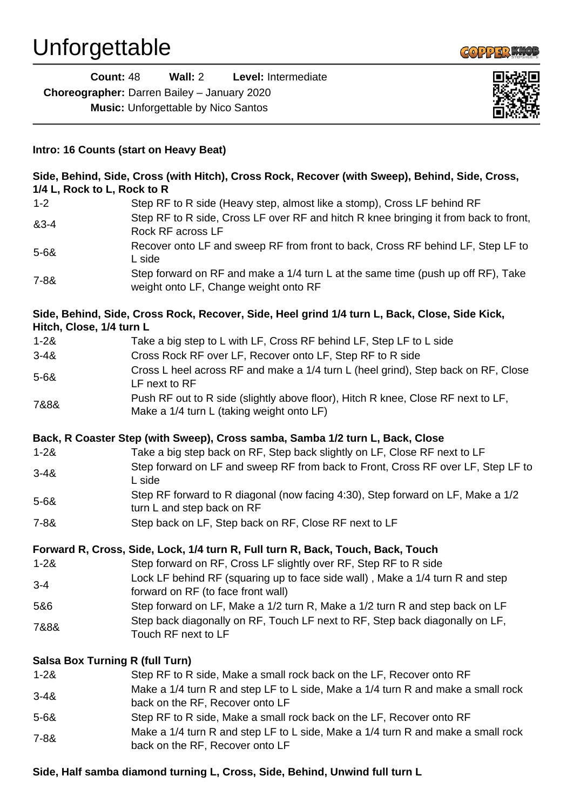

|                             | <b>Count: 48</b><br>Wall: $2$<br>Level: Intermediate                                                                      |  |
|-----------------------------|---------------------------------------------------------------------------------------------------------------------------|--|
|                             | Choreographer: Darren Bailey - January 2020                                                                               |  |
|                             | <b>Music:</b> Unforgettable by Nico Santos                                                                                |  |
|                             |                                                                                                                           |  |
|                             |                                                                                                                           |  |
|                             | Intro: 16 Counts (start on Heavy Beat)                                                                                    |  |
| 1/4 L, Rock to L, Rock to R | Side, Behind, Side, Cross (with Hitch), Cross Rock, Recover (with Sweep), Behind, Side, Cross,                            |  |
| $1 - 2$                     | Step RF to R side (Heavy step, almost like a stomp), Cross LF behind RF                                                   |  |
| 83-4                        | Step RF to R side, Cross LF over RF and hitch R knee bringing it from back to front,<br>Rock RF across LF                 |  |
| $5 - 68$                    | Recover onto LF and sweep RF from front to back, Cross RF behind LF, Step LF to<br>L side                                 |  |
| $7 - 88$                    | Step forward on RF and make a 1/4 turn L at the same time (push up off RF), Take<br>weight onto LF, Change weight onto RF |  |
| Hitch, Close, 1/4 turn L    | Side, Behind, Side, Cross Rock, Recover, Side, Heel grind 1/4 turn L, Back, Close, Side Kick,                             |  |
| $1 - 28$                    | Take a big step to L with LF, Cross RF behind LF, Step LF to L side                                                       |  |
| $3 - 48$                    | Cross Rock RF over LF, Recover onto LF, Step RF to R side                                                                 |  |
|                             | Cross L heel across RF and make a 1/4 turn L (heel grind), Step back on RF, Close                                         |  |
| $5 - 68$                    | LF next to RF                                                                                                             |  |
|                             | Push RF out to R side (slightly above floor), Hitch R knee, Close RF next to LF,                                          |  |
| 7&8&                        | Make a 1/4 turn L (taking weight onto LF)                                                                                 |  |
|                             | Back, R Coaster Step (with Sweep), Cross samba, Samba 1/2 turn L, Back, Close                                             |  |
| $1 - 28$                    | Take a big step back on RF, Step back slightly on LF, Close RF next to LF                                                 |  |
| $3 - 48$                    | Step forward on LF and sweep RF from back to Front, Cross RF over LF, Step LF to<br>L side                                |  |
| $5 - 68$                    | Step RF forward to R diagonal (now facing 4:30), Step forward on LF, Make a 1/2<br>turn L and step back on RF             |  |
| $7 - 88$                    | Step back on LF, Step back on RF, Close RF next to LF                                                                     |  |
|                             | Forward R, Cross, Side, Lock, 1/4 turn R, Full turn R, Back, Touch, Back, Touch                                           |  |
| $1 - 28$                    | Step forward on RF, Cross LF slightly over RF, Step RF to R side                                                          |  |
| $3 - 4$                     | Lock LF behind RF (squaring up to face side wall), Make a 1/4 turn R and step<br>forward on RF (to face front wall)       |  |
| 5&6                         | Step forward on LF, Make a 1/2 turn R, Make a 1/2 turn R and step back on LF                                              |  |
| 7&8&                        | Step back diagonally on RF, Touch LF next to RF, Step back diagonally on LF,<br>Touch RF next to LF                       |  |
|                             |                                                                                                                           |  |
| $1 - 28$                    | <b>Salsa Box Turning R (full Turn)</b><br>Step RF to R side, Make a small rock back on the LF, Recover onto RF            |  |
|                             | Make a 1/4 turn R and step LF to L side, Make a 1/4 turn R and make a small rock                                          |  |
| $3 - 48$                    | back on the RF, Recover onto LF                                                                                           |  |
| $5 - 68$                    | Step RF to R side, Make a small rock back on the LF, Recover onto RF                                                      |  |
|                             | Make a 1/4 turn R and step LF to L side, Make a 1/4 turn R and make a small rock                                          |  |
| $7 - 88$                    | back on the RF, Recover onto LF                                                                                           |  |

## **Side, Half samba diamond turning L, Cross, Side, Behind, Unwind full turn L**